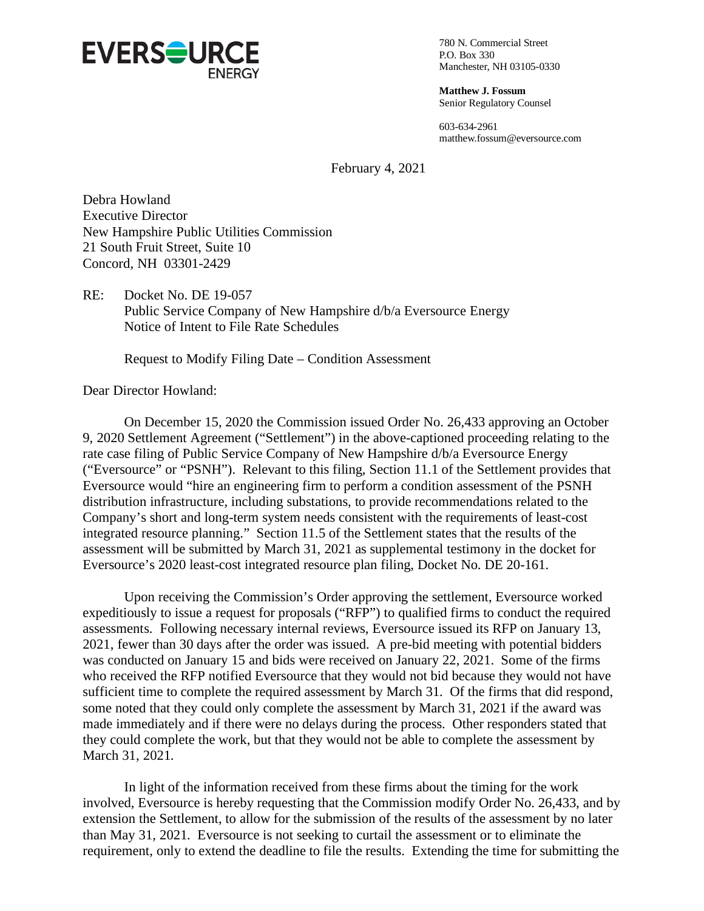

780 N. Commercial Street P.O. Box 330 Manchester, NH 03105-0330

**Matthew J. Fossum** Senior Regulatory Counsel

603-634-2961 matthew.fossum@eversource.com

February 4, 2021

Debra Howland Executive Director New Hampshire Public Utilities Commission 21 South Fruit Street, Suite 10 Concord, NH 03301-2429

RE: Docket No. DE 19-057 Public Service Company of New Hampshire d/b/a Eversource Energy Notice of Intent to File Rate Schedules

Request to Modify Filing Date – Condition Assessment

Dear Director Howland:

On December 15, 2020 the Commission issued Order No. 26,433 approving an October 9, 2020 Settlement Agreement ("Settlement") in the above-captioned proceeding relating to the rate case filing of Public Service Company of New Hampshire d/b/a Eversource Energy ("Eversource" or "PSNH"). Relevant to this filing, Section 11.1 of the Settlement provides that Eversource would "hire an engineering firm to perform a condition assessment of the PSNH distribution infrastructure, including substations, to provide recommendations related to the Company's short and long-term system needs consistent with the requirements of least-cost integrated resource planning." Section 11.5 of the Settlement states that the results of the assessment will be submitted by March 31, 2021 as supplemental testimony in the docket for Eversource's 2020 least-cost integrated resource plan filing, Docket No. DE 20-161.

Upon receiving the Commission's Order approving the settlement, Eversource worked expeditiously to issue a request for proposals ("RFP") to qualified firms to conduct the required assessments. Following necessary internal reviews, Eversource issued its RFP on January 13, 2021, fewer than 30 days after the order was issued. A pre-bid meeting with potential bidders was conducted on January 15 and bids were received on January 22, 2021. Some of the firms who received the RFP notified Eversource that they would not bid because they would not have sufficient time to complete the required assessment by March 31. Of the firms that did respond, some noted that they could only complete the assessment by March 31, 2021 if the award was made immediately and if there were no delays during the process. Other responders stated that they could complete the work, but that they would not be able to complete the assessment by March 31, 2021.

In light of the information received from these firms about the timing for the work involved, Eversource is hereby requesting that the Commission modify Order No. 26,433, and by extension the Settlement, to allow for the submission of the results of the assessment by no later than May 31, 2021. Eversource is not seeking to curtail the assessment or to eliminate the requirement, only to extend the deadline to file the results. Extending the time for submitting the